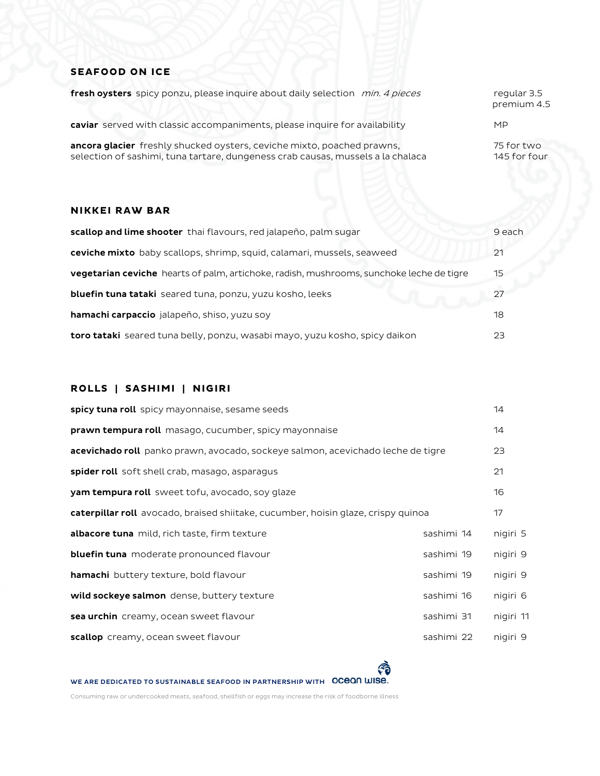## **SEAFOOD ON ICE**

| fresh oysters spicy ponzu, please inquire about daily selection min. 4 pieces                                                                             | regular 3.5<br>premium 4.5 |
|-----------------------------------------------------------------------------------------------------------------------------------------------------------|----------------------------|
| caviar served with classic accompaniments, please inquire for availability                                                                                | <b>MP</b>                  |
| ancora glacier freshly shucked oysters, ceviche mixto, poached prawns,<br>selection of sashimi, tuna tartare, dungeness crab causas, mussels a la chalaca | 75 for two<br>145 for four |

### **NIKKEI RAW BAR**

| scallop and lime shooter thai flavours, red jalapeño, palm sugar                                | 9 each |
|-------------------------------------------------------------------------------------------------|--------|
| ceviche mixto baby scallops, shrimp, squid, calamari, mussels, seaweed                          | 21     |
| <b>vegetarian ceviche</b> hearts of palm, artichoke, radish, mushrooms, sunchoke leche de tigre | 15     |
| <b>bluefin tuna tataki</b> seared tuna, ponzu, yuzu kosho, leeks                                | 27     |
| <b>hamachi carpaccio</b> jalapeño, shiso, yuzu soy                                              | 18     |
| toro tataki seared tuna belly, ponzu, wasabi mayo, yuzu kosho, spicy daikon                     | 23     |

# **ROLLS | SASHIMI | NIGIRI**

| spicy tuna roll spicy mayonnaise, sesame seeds                                         |            | 14        |
|----------------------------------------------------------------------------------------|------------|-----------|
| <b>prawn tempura roll</b> masago, cucumber, spicy mayonnaise                           |            | 14        |
| <b>acevichado roll</b> panko prawn, avocado, sockeye salmon, acevichado leche de tigre |            | 23        |
| <b>spider roll</b> soft shell crab, masago, asparagus                                  |            | 21        |
| <b>yam tempura roll</b> sweet tofu, avocado, soy glaze                                 |            | 16        |
| caterpillar roll avocado, braised shiitake, cucumber, hoisin glaze, crispy quinoa      |            | 17        |
| <b>albacore tuna</b> mild, rich taste, firm texture                                    | sashimi 14 | nigiri 5  |
| bluefin tuna moderate pronounced flavour                                               | sashimi 19 | nigiri 9  |
| <b>hamachi</b> buttery texture, bold flavour                                           | sashimi 19 | nigiri 9  |
| wild sockeye salmon dense, buttery texture                                             | sashimi 16 | nigiri 6  |
| sea urchin creamy, ocean sweet flavour                                                 | sashimi 31 | nigiri 11 |
| scallop creamy, ocean sweet flavour                                                    | sashimi 22 | nigiri 9  |

WE ARE DEDICATED TO SUSTAINABLE SEAFOOD IN PARTNERSHIP WITH OCEON WISE.

Consuming raw or undercooked meats, seafood, shellfish or eggs may increase the risk of foodborne illness